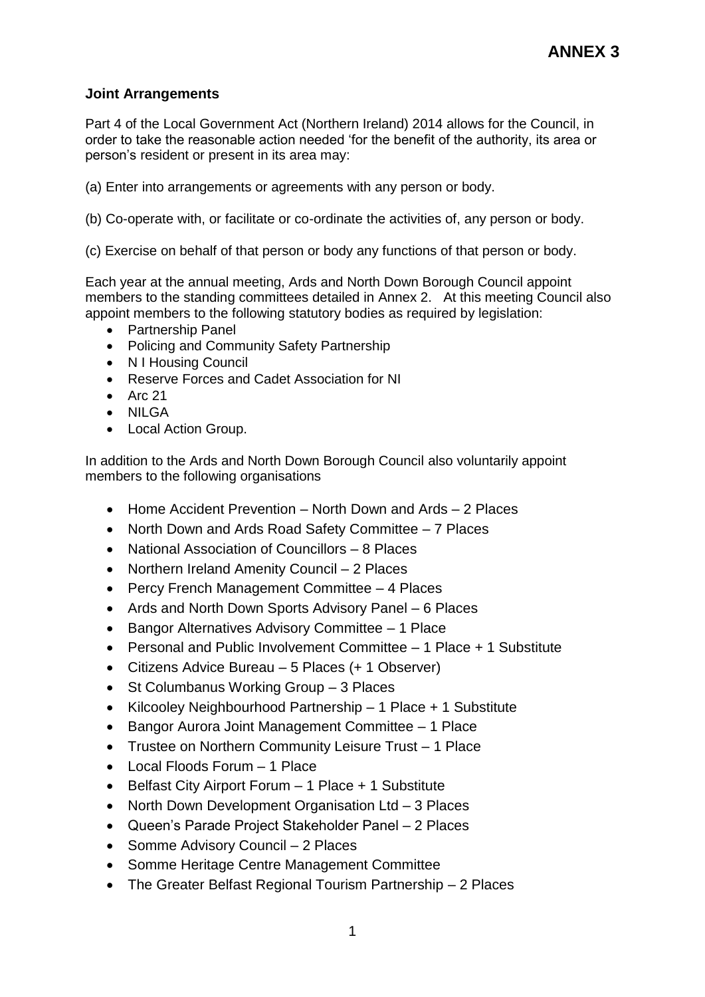## **Joint Arrangements**

Part 4 of the Local Government Act (Northern Ireland) 2014 allows for the Council, in order to take the reasonable action needed 'for the benefit of the authority, its area or person's resident or present in its area may:

- (a) Enter into arrangements or agreements with any person or body.
- (b) Co-operate with, or facilitate or co-ordinate the activities of, any person or body.
- (c) Exercise on behalf of that person or body any functions of that person or body.

Each year at the annual meeting, Ards and North Down Borough Council appoint members to the standing committees detailed in Annex 2. At this meeting Council also appoint members to the following statutory bodies as required by legislation:

- Partnership Panel
- Policing and Community Safety Partnership
- N I Housing Council
- Reserve Forces and Cadet Association for NI
- $\bullet$  Arc 21
- $\bullet$  NII GA
- Local Action Group.

In addition to the Ards and North Down Borough Council also voluntarily appoint members to the following organisations

- Home Accident Prevention North Down and Ards 2 Places
- North Down and Ards Road Safety Committee 7 Places
- National Association of Councillors 8 Places
- Northern Ireland Amenity Council 2 Places
- Percy French Management Committee 4 Places
- Ards and North Down Sports Advisory Panel 6 Places
- Bangor Alternatives Advisory Committee 1 Place
- Personal and Public Involvement Committee 1 Place + 1 Substitute
- Citizens Advice Bureau 5 Places (+ 1 Observer)
- St Columbanus Working Group 3 Places
- Kilcooley Neighbourhood Partnership 1 Place + 1 Substitute
- Bangor Aurora Joint Management Committee 1 Place
- Trustee on Northern Community Leisure Trust 1 Place
- Local Floods Forum 1 Place
- Belfast City Airport Forum 1 Place + 1 Substitute
- North Down Development Organisation Ltd 3 Places
- Queen's Parade Project Stakeholder Panel 2 Places
- Somme Advisory Council 2 Places
- Somme Heritage Centre Management Committee
- The Greater Belfast Regional Tourism Partnership 2 Places